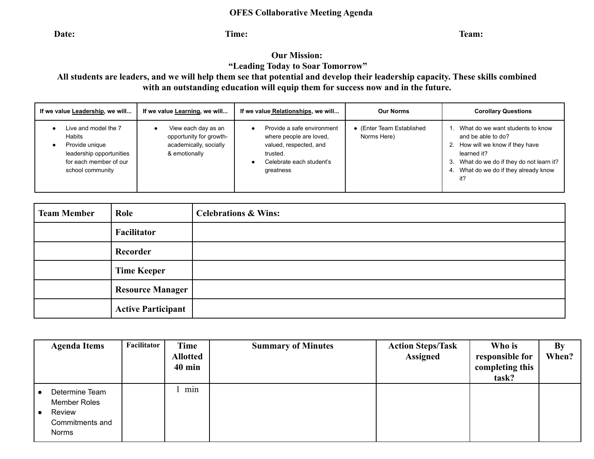## **OFES Collaborative Meeting Agenda**

**Date:** Time: Time: The set of  $\alpha$  and  $\beta$  and  $\beta$  and  $\beta$  and  $\beta$  and  $\beta$  and  $\beta$  and  $\beta$  and  $\beta$  and  $\beta$  and  $\beta$  and  $\beta$  and  $\beta$  and  $\beta$  and  $\beta$  and  $\beta$  and  $\beta$  and  $\beta$  and  $\beta$  and  $\beta$  and  $\beta$  and  $\$ 

## **Our Mission:**

**"Leading Today to Soar Tomorrow"**

**All students are leaders, and we will help them see that potential and develop their leadership capacity. These skills combined with an outstanding education will equip them for success now and in the future.**

| If we value Leadership, we will                                                                                            | If we value Learning, we will                                                             | If we value Relationships, we will                                                                                                   | <b>Our Norms</b>                         | <b>Corollary Questions</b>                                                                                                                                                                    |  |  |
|----------------------------------------------------------------------------------------------------------------------------|-------------------------------------------------------------------------------------------|--------------------------------------------------------------------------------------------------------------------------------------|------------------------------------------|-----------------------------------------------------------------------------------------------------------------------------------------------------------------------------------------------|--|--|
| Live and model the 7<br>Habits<br>Provide unique<br>leadership opportunities<br>for each member of our<br>school community | View each day as an<br>opportunity for growth-<br>academically, socially<br>& emotionally | Provide a safe environment<br>where people are loved,<br>valued, respected, and<br>trusted.<br>Celebrate each student's<br>greatness | • (Enter Team Established<br>Norms Here) | What do we want students to know<br>and be able to do?<br>How will we know if they have<br>learned it?<br>What do we do if they do not learn it?<br>What do we do if they already know<br>it? |  |  |

| <b>Team Member</b> | Role                      | <b>Celebrations &amp; Wins:</b> |
|--------------------|---------------------------|---------------------------------|
|                    | Facilitator               |                                 |
|                    | Recorder                  |                                 |
|                    | <b>Time Keeper</b>        |                                 |
|                    | <b>Resource Manager</b>   |                                 |
|                    | <b>Active Participant</b> |                                 |

| <b>Agenda Items</b>                                                  | Facilitator | <b>Time</b><br><b>Allotted</b><br>$40 \text{ min}$ | <b>Summary of Minutes</b> | <b>Action Steps/Task</b><br><b>Assigned</b> | Who is<br>responsible for<br>completing this<br>task? | By<br>When? |
|----------------------------------------------------------------------|-------------|----------------------------------------------------|---------------------------|---------------------------------------------|-------------------------------------------------------|-------------|
| Determine Team<br>Member Roles<br>Review<br>Commitments and<br>Norms |             | min                                                |                           |                                             |                                                       |             |